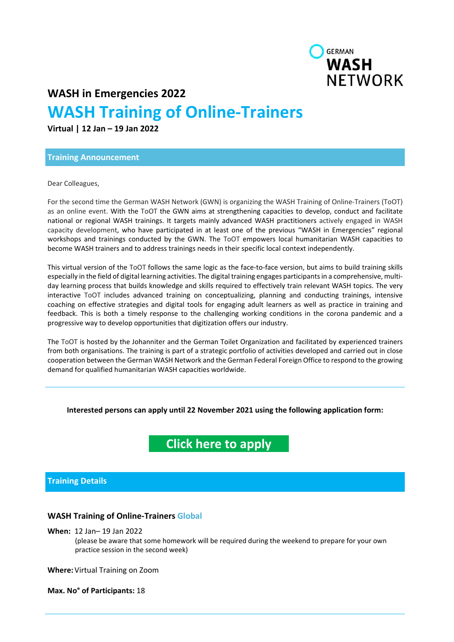

**WASH in Emergencies 2022** 

# **WASH Training of Online‐Trainers**

**Virtual | 12 Jan – 19 Jan 2022** 

#### **Training Announcement**

Dear Colleagues,

For the second time the German WASH Network (GWN) is organizing the WASH Training of Online‐Trainers (ToOT) as an online event. With the ToOT the GWN aims at strengthening capacities to develop, conduct and facilitate national or regional WASH trainings. It targets mainly advanced WASH practitioners actively engaged in WASH capacity development, who have participated in at least one of the previous "WASH in Emergencies" regional workshops and trainings conducted by the GWN. The ToOT empowers local humanitarian WASH capacities to become WASH trainers and to address trainings needs in their specific local context independently.

This virtual version of the ToOT follows the same logic as the face-to-face version, but aims to build training skills especially in the field of digital learning activities. The digital training engages participants in a comprehensive, multiday learning process that builds knowledge and skills required to effectively train relevant WASH topics. The very interactive ToOT includes advanced training on conceptualizing, planning and conducting trainings, intensive coaching on effective strategies and digital tools for engaging adult learners as well as practice in training and feedback. This is both a timely response to the challenging working conditions in the corona pandemic and a progressive way to develop opportunities that digitization offers our industry.

The ToOT is hosted by the Johanniter and the German Toilet Organization and facilitated by experienced trainers from both organisations. The training is part of a strategic portfolio of activities developed and carried out in close cooperation between the German WASH Network and the German Federal Foreign Office to respond to the growing demand for qualified humanitarian WASH capacities worldwide.

### **Interested persons can apply until 22 November 2021 using the following application form:**

## **Click here to apply**

### **Training Details**

### **WASH Training of Online‐Trainers Global**

**When:** 12 Jan– 19 Jan 2022

(please be aware that some homework will be required during the weekend to prepare for your own practice session in the second week)

**Where:** Virtual Training on Zoom

**Max. No° of Participants:** 18